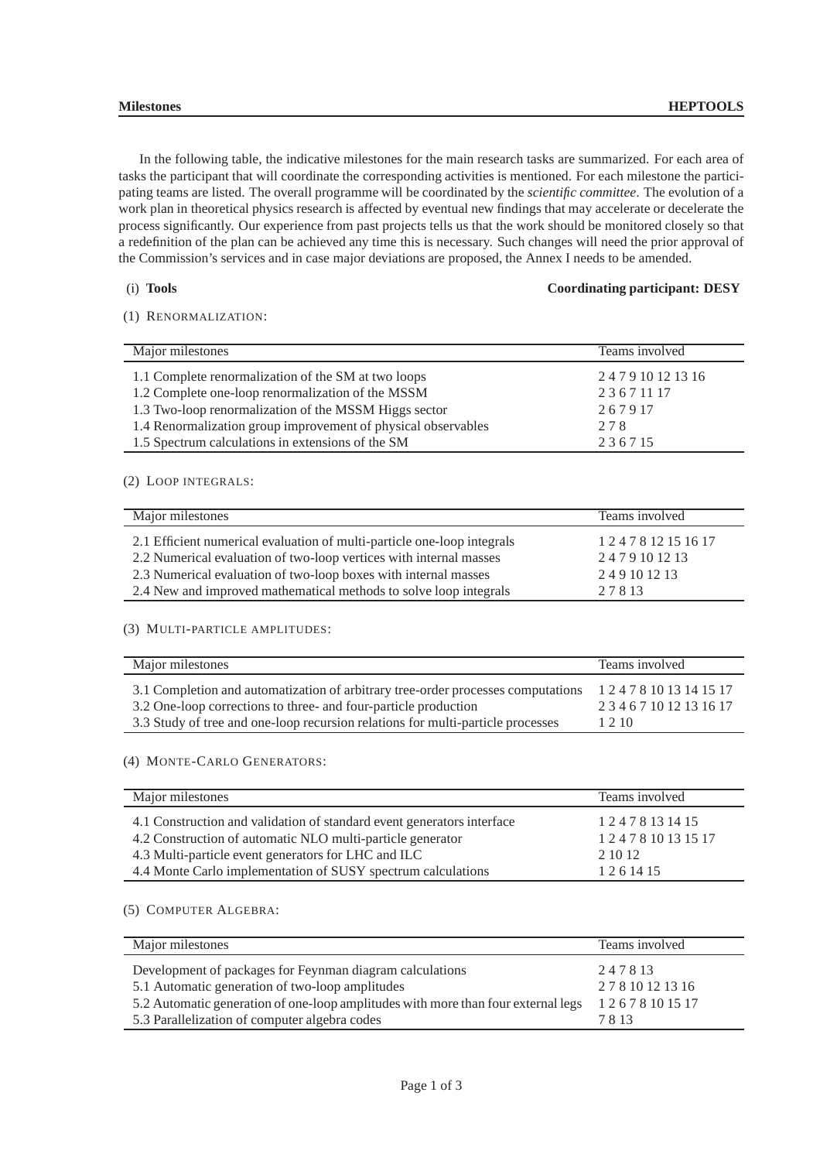In the following table, the indicative milestones for the main research tasks are summarized. For each area of tasks the participant that will coordinate the corresponding activities is mentioned. For each milestone the participating teams are listed. The overall programme will be coordinated by the *scientific committee*. The evolution of a work plan in theoretical physics research is affected by eventual new findings that may accelerate or decelerate the process significantly. Our experience from past projects tells us that the work should be monitored closely so that a redefinition of the plan can be achieved any time this is necessary. Such changes will need the prior approval of the Commission's services and in case major deviations are proposed, the Annex I needs to be amended.

## (i) **Tools Coordinating participant: DESY**

## (1) RENORMALIZATION:

| Major milestones                                              | Teams involved      |
|---------------------------------------------------------------|---------------------|
| 1.1 Complete renormalization of the SM at two loops           | 2 4 7 9 10 12 13 16 |
| 1.2 Complete one-loop renormalization of the MSSM             | 23671117            |
| 1.3 Two-loop renormalization of the MSSM Higgs sector         | 267917              |
| 1.4 Renormalization group improvement of physical observables | 278                 |
| 1.5 Spectrum calculations in extensions of the SM             | 236715              |

# (2) LOOP INTEGRALS:

| Major milestones                                                        | Teams involved        |
|-------------------------------------------------------------------------|-----------------------|
| 2.1 Efficient numerical evaluation of multi-particle one-loop integrals | 1 2 4 7 8 12 15 16 17 |
| 2.2 Numerical evaluation of two-loop vertices with internal masses      | 2479101213            |
| 2.3 Numerical evaluation of two-loop boxes with internal masses         | 249101213             |
| 2.4 New and improved mathematical methods to solve loop integrals       | 27813                 |

## (3) MULTI-PARTICLE AMPLITUDES:

| Major milestones                                                                 | Teams involved           |
|----------------------------------------------------------------------------------|--------------------------|
| 3.1 Completion and automatization of arbitrary tree-order processes computations | 1 2 4 7 8 10 13 14 15 17 |
| 3.2 One-loop corrections to three- and four-particle production                  | 2 3 4 6 7 10 12 13 16 17 |
| 3.3 Study of tree and one-loop recursion relations for multi-particle processes  | 1 2 1 0                  |

(4) MONTE-CARLO GENERATORS:

| Major milestones                                                       | Teams involved        |
|------------------------------------------------------------------------|-----------------------|
| 4.1 Construction and validation of standard event generators interface | 1 2 4 7 8 13 14 15    |
| 4.2 Construction of automatic NLO multi-particle generator             | 1 2 4 7 8 10 13 15 17 |
| 4.3 Multi-particle event generators for LHC and ILC                    | 2 10 12               |
| 4.4 Monte Carlo implementation of SUSY spectrum calculations           | 1 2 6 14 15           |

# (5) COMPUTER ALGEBRA:

| Major milestones                                                                  | Teams involved     |
|-----------------------------------------------------------------------------------|--------------------|
| Development of packages for Feynman diagram calculations                          | 247813             |
| 5.1 Automatic generation of two-loop amplitudes                                   | 2 7 8 10 12 13 16  |
| 5.2 Automatic generation of one-loop amplitudes with more than four external legs | 1 2 6 7 8 10 15 17 |
| 5.3 Parallelization of computer algebra codes                                     | 7813               |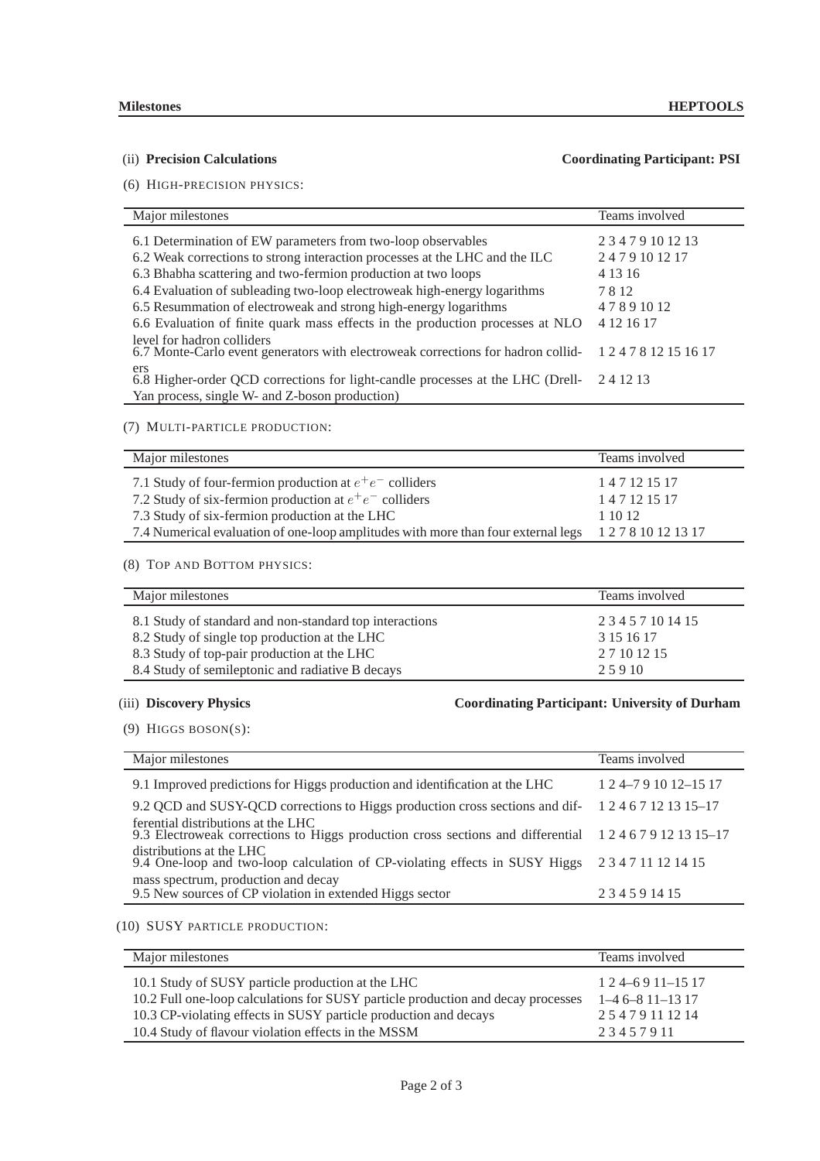# (ii) **Precision Calculations Coordinating Participant: PSI**

(6) HIGH-PRECISION PHYSICS:

### Major milestones Teams involved 6.1 Determination of EW parameters from two-loop observables 2 3 4 7 9 10 12 13 6.2 Weak corrections to strong interaction processes at the LHC and the ILC 2 4 7 9 10 12 17 6.3 Bhabha scattering and two-fermion production at two loops 4 13 16 6.4 Evaluation of subleading two-loop electroweak high-energy logarithms 78 12<br>6.5 Resummation of electroweak and strong high-energy logarithms 4789 10 12 6.5 Resummation of electroweak and strong high-energy logarithms 6.6 Evaluation of finite quark mass effects in the production processes at NLO 4 12 16 17 level for hadron colliders 6.7 Monte-Carlo event generators with electroweak corrections for hadron colliders 1 2 4 7 8 12 15 16 17 6.8 Higher-order QCD corrections for light-candle processes at the LHC (Drell-Yan process, single W- and Z-boson production) 2 4 12 13

### (7) MULTI-PARTICLE PRODUCTION:

| Major milestones                                                                                      | Teams involved |
|-------------------------------------------------------------------------------------------------------|----------------|
| 7.1 Study of four-fermion production at $e^+e^-$ colliders                                            | 1 4 7 12 15 17 |
| 7.2 Study of six-fermion production at $e^+e^-$ colliders                                             | 1 4 7 12 15 17 |
| 7.3 Study of six-fermion production at the LHC                                                        | 1 10 12        |
| 7.4 Numerical evaluation of one-loop amplitudes with more than four external legs 1 2 7 8 10 12 13 17 |                |

## (8) TOP AND BOTTOM PHYSICS:

| Major milestones                                        | Teams involved     |
|---------------------------------------------------------|--------------------|
| 8.1 Study of standard and non-standard top interactions | 2 3 4 5 7 10 14 15 |
| 8.2 Study of single top production at the LHC           | 3 15 16 17         |
| 8.3 Study of top-pair production at the LHC             | 2 7 10 12 15       |
| 8.4 Study of semileptonic and radiative B decays        | 25910              |

# (iii) **Discovery Physics Coordinating Participant: University of Durham**

(9) HIGGS BOSON(S):

| Major milestones                                                                                                                      | Teams involved            |
|---------------------------------------------------------------------------------------------------------------------------------------|---------------------------|
| 9.1 Improved predictions for Higgs production and identification at the LHC                                                           | 1 2 4 - 7 9 10 12 - 15 17 |
| 9.2 QCD and SUSY-QCD corrections to Higgs production cross sections and dif-                                                          | 1 2 4 6 7 12 13 15 - 17   |
| ferential distributions at the LHC<br>9.3 Electroweak corrections to Higgs production cross sections and differential 124679121315-17 |                           |
| distributions at the LHC<br>9.4 One-loop and two-loop calculation of CP-violating effects in SUSY Higgs                               | 2 3 4 7 11 12 14 15       |
| mass spectrum, production and decay<br>9.5 New sources of CP violation in extended Higgs sector                                       | 234591415                 |

(10) SUSY PARTICLE PRODUCTION:

| Major milestones                                                                 | Teams involved      |
|----------------------------------------------------------------------------------|---------------------|
| 10.1 Study of SUSY particle production at the LHC                                | $124 - 6911 - 1517$ |
| 10.2 Full one-loop calculations for SUSY particle production and decay processes | $1-46-811-1317$     |
| 10.3 CP-violating effects in SUSY particle production and decays                 | 25479111214         |
| 10.4 Study of flavour violation effects in the MSSM                              | 23457911            |